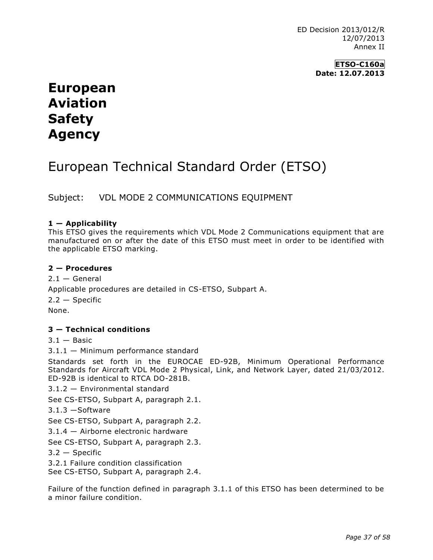ED Decision 2013/012/R 12/07/2013 Annex II

> **ETSO-C160a Date: 12.07.2013**

# **European Aviation Safety Agency**

# European Technical Standard Order (ETSO)

Subject: VDL MODE 2 COMMUNICATIONS EQUIPMENT

### **1 — Applicability**

This ETSO gives the requirements which VDL Mode 2 Communications equipment that are manufactured on or after the date of this ETSO must meet in order to be identified with the applicable ETSO marking.

### **2 — Procedures**

 $2.1 -$  General Applicable procedures are detailed in CS-ETSO, Subpart A.  $2.2 -$ Specific None.

### **3 — Technical conditions**

 $3.1 -$ Basic

3.1.1 — Minimum performance standard

Standards set forth in the EUROCAE ED-92B, Minimum Operational Performance Standards for Aircraft VDL Mode 2 Physical, Link, and Network Layer, dated 21/03/2012. ED-92B is identical to RTCA DO-281B.

3.1.2 — Environmental standard

See CS-ETSO, Subpart A, paragraph 2.1.

3.1.3 —Software

See CS-ETSO, Subpart A, paragraph 2.2.

3.1.4 — Airborne electronic hardware

See CS-ETSO, Subpart A, paragraph 2.3.

3.2 — Specific

3.2.1 Failure condition classification

See CS-ETSO, Subpart A, paragraph 2.4.

Failure of the function defined in paragraph 3.1.1 of this ETSO has been determined to be a minor failure condition.